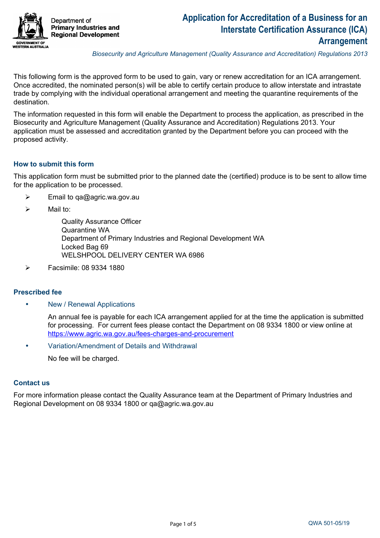

*Biosecurity and Agriculture Management (Quality Assurance and Accreditation) Regulations 2013* 

This following form is the approved form to be used to gain, vary or renew accreditation for an ICA arrangement. Once accredited, the nominated person(s) will be able to certify certain produce to allow interstate and intrastate trade by complying with the individual operational arrangement and meeting the quarantine requirements of the destination.

The information requested in this form will enable the Department to process the application, as prescribed in the Biosecurity and Agriculture Management (Quality Assurance and Accreditation) Regulations 2013. Your application must be assessed and accreditation granted by the Department before you can proceed with the proposed activity.

### **How to submit this form**

This application form must be submitted prior to the planned date the (certified) produce is to be sent to allow time for the application to be processed.

- $\triangleright$  Email to qa@agric.wa.gov.au
- $\triangleright$  Mail to:

 Quality Assurance Officer Quarantine WA Department of Primary Industries and Regional Development WA Locked Bag 69 WELSHPOOL DELIVERY CENTER WA 6986

 $\triangleright$  Facsimile: 08 9334 1880

#### **Prescribed fee**

• New / Renewal Applications

An annual fee is payable for each ICA arrangement applied for at the time the application is submitted for processing. For current fees please contact the Department on 08 9334 1800 or view online at <https://www.agric.wa.gov.au/fees-charges-and-procurement>

• Variation/Amendment of Details and Withdrawal

No fee will be charged.

#### **Contact us**

For more information please contact the Quality Assurance team at the Department of Primary Industries and Regional Development on 08 9334 1800 or qa@agric.wa.gov.au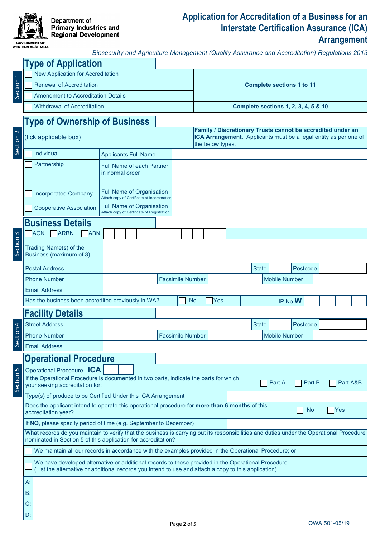

### **Application for Accreditation of a Business for an Interstate Certification Assurance (ICA) Arrangement**

|                      | <b>GOVERNMENT OF</b><br>WESTERN AUSTRALIA                                                                                                                | Biosecurity and Agriculture Management (Quality Assurance and Accreditation) Regulations 2013 |                                      |                                  |              |                                                                                                                                 | <u>, , , , , , , , , , , , , , , ,</u> |  |  |
|----------------------|----------------------------------------------------------------------------------------------------------------------------------------------------------|-----------------------------------------------------------------------------------------------|--------------------------------------|----------------------------------|--------------|---------------------------------------------------------------------------------------------------------------------------------|----------------------------------------|--|--|
|                      | <b>Type of Application</b>                                                                                                                               |                                                                                               |                                      |                                  |              |                                                                                                                                 |                                        |  |  |
|                      | <b>New Application for Accreditation</b>                                                                                                                 |                                                                                               |                                      |                                  |              |                                                                                                                                 |                                        |  |  |
| Section 1            | <b>Renewal of Accreditation</b>                                                                                                                          |                                                                                               |                                      | <b>Complete sections 1 to 11</b> |              |                                                                                                                                 |                                        |  |  |
|                      | <b>Amendment to Accreditation Details</b>                                                                                                                |                                                                                               |                                      |                                  |              |                                                                                                                                 |                                        |  |  |
|                      | <b>Withdrawal of Accreditation</b>                                                                                                                       |                                                                                               | Complete sections 1, 2, 3, 4, 5 & 10 |                                  |              |                                                                                                                                 |                                        |  |  |
|                      | <b>Type of Ownership of Business</b>                                                                                                                     |                                                                                               |                                      |                                  |              |                                                                                                                                 |                                        |  |  |
| Section <sub>2</sub> | (tick applicable box)                                                                                                                                    |                                                                                               |                                      | the below types.                 |              | Family / Discretionary Trusts cannot be accredited under an<br>ICA Arrangement. Applicants must be a legal entity as per one of |                                        |  |  |
|                      | Individual                                                                                                                                               | <b>Applicants Full Name</b>                                                                   |                                      |                                  |              |                                                                                                                                 |                                        |  |  |
|                      | Partnership                                                                                                                                              | <b>Full Name of each Partner</b><br>in normal order                                           |                                      |                                  |              |                                                                                                                                 |                                        |  |  |
|                      | <b>Incorporated Company</b>                                                                                                                              | Full Name of Organisation<br>Attach copy of Certificate of Incorporation                      |                                      |                                  |              |                                                                                                                                 |                                        |  |  |
|                      | <b>Full Name of Organisation</b><br><b>Cooperative Association</b><br>Attach copy of Certificate of Registration                                         |                                                                                               |                                      |                                  |              |                                                                                                                                 |                                        |  |  |
|                      | <b>Business Details</b>                                                                                                                                  |                                                                                               |                                      |                                  |              |                                                                                                                                 |                                        |  |  |
|                      | <b>ACN</b><br><b>ARBN</b><br><b>ABN</b>                                                                                                                  |                                                                                               |                                      |                                  |              |                                                                                                                                 |                                        |  |  |
| Section 3            | Trading Name(s) of the<br>Business (maximum of 3)                                                                                                        |                                                                                               |                                      |                                  |              |                                                                                                                                 |                                        |  |  |
|                      | <b>Postal Address</b>                                                                                                                                    |                                                                                               |                                      |                                  | <b>State</b> | Postcode<br>$\blacktriangledown$                                                                                                |                                        |  |  |
|                      | <b>Phone Number</b>                                                                                                                                      |                                                                                               | <b>Facsimile Number</b>              |                                  |              | <b>Mobile Number</b>                                                                                                            |                                        |  |  |
|                      | <b>Email Address</b>                                                                                                                                     |                                                                                               |                                      |                                  |              |                                                                                                                                 |                                        |  |  |
|                      | Has the business been accredited previously in WA?                                                                                                       |                                                                                               |                                      | <b>No</b><br>Yes                 |              | IP No W                                                                                                                         |                                        |  |  |
|                      | <b>Facility Details</b>                                                                                                                                  |                                                                                               |                                      |                                  |              |                                                                                                                                 |                                        |  |  |
| $\overline{4}$       | <b>Street Address</b>                                                                                                                                    |                                                                                               |                                      |                                  | <b>State</b> | Postcode<br>$\blacktriangledown$                                                                                                |                                        |  |  |
| Section              | <b>Phone Number</b>                                                                                                                                      |                                                                                               | <b>Facsimile Number</b>              |                                  |              | <b>Mobile Number</b>                                                                                                            |                                        |  |  |
|                      | <b>Email Address</b>                                                                                                                                     |                                                                                               |                                      |                                  |              |                                                                                                                                 |                                        |  |  |
|                      | <b>Operational Procedure</b>                                                                                                                             |                                                                                               |                                      |                                  |              |                                                                                                                                 |                                        |  |  |
|                      | Operational Procedure ICA                                                                                                                                |                                                                                               |                                      |                                  |              |                                                                                                                                 |                                        |  |  |
| Section <sub>5</sub> | If the Operational Procedure is documented in two parts, indicate the parts for which<br>Part A<br>Part B<br>Part A&B<br>your seeking accreditation for: |                                                                                               |                                      |                                  |              |                                                                                                                                 |                                        |  |  |
|                      | Type(s) of produce to be Certified Under this ICA Arrangement                                                                                            |                                                                                               |                                      |                                  |              |                                                                                                                                 |                                        |  |  |

If **NO**, please specify period of time (e.g. September to December) Does the applicant intend to operate this operational procedure for **more than 6 months** of this <br>accreditation year? accreditation year?

What records do you maintain to verify that the business is carrying out its responsibilities and duties under the Operational Procedure nominated in Section 5 of this application for accreditation?

We maintain all our records in accordance with the examples provided in the Operational Procedure; or

| We have developed alternative or additional records to those provided in the Operational Procedure.  |  |
|------------------------------------------------------------------------------------------------------|--|
| (List the alternative or additional records you intend to use and attach a copy to this application) |  |

A: B: C: D: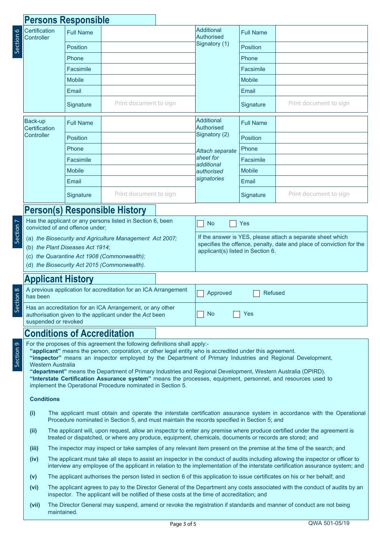# **Persons Responsible**

maintained.

| Section 6      | Certification<br>Controller                                                                                                                                                                                                                                                                                                                                                                                                                                                                                                                                                                                                    | <b>Full Name</b>                                                                                                                                                                                                                    |                                                                                            |  | Additional<br><b>Authorised</b>        | <b>Full Name</b> |                                                                                                                                                                                                                                                                     |  |  |  |
|----------------|--------------------------------------------------------------------------------------------------------------------------------------------------------------------------------------------------------------------------------------------------------------------------------------------------------------------------------------------------------------------------------------------------------------------------------------------------------------------------------------------------------------------------------------------------------------------------------------------------------------------------------|-------------------------------------------------------------------------------------------------------------------------------------------------------------------------------------------------------------------------------------|--------------------------------------------------------------------------------------------|--|----------------------------------------|------------------|---------------------------------------------------------------------------------------------------------------------------------------------------------------------------------------------------------------------------------------------------------------------|--|--|--|
|                |                                                                                                                                                                                                                                                                                                                                                                                                                                                                                                                                                                                                                                | <b>Position</b>                                                                                                                                                                                                                     |                                                                                            |  | Signatory (1)                          | <b>Position</b>  |                                                                                                                                                                                                                                                                     |  |  |  |
|                |                                                                                                                                                                                                                                                                                                                                                                                                                                                                                                                                                                                                                                | Phone                                                                                                                                                                                                                               |                                                                                            |  |                                        | Phone            |                                                                                                                                                                                                                                                                     |  |  |  |
|                |                                                                                                                                                                                                                                                                                                                                                                                                                                                                                                                                                                                                                                | Facsimile                                                                                                                                                                                                                           |                                                                                            |  |                                        | Facsimile        |                                                                                                                                                                                                                                                                     |  |  |  |
|                |                                                                                                                                                                                                                                                                                                                                                                                                                                                                                                                                                                                                                                | <b>Mobile</b>                                                                                                                                                                                                                       |                                                                                            |  |                                        | <b>Mobile</b>    |                                                                                                                                                                                                                                                                     |  |  |  |
|                |                                                                                                                                                                                                                                                                                                                                                                                                                                                                                                                                                                                                                                | Email                                                                                                                                                                                                                               |                                                                                            |  |                                        | Email            |                                                                                                                                                                                                                                                                     |  |  |  |
|                |                                                                                                                                                                                                                                                                                                                                                                                                                                                                                                                                                                                                                                | Signature                                                                                                                                                                                                                           | Print document to sign                                                                     |  |                                        | Signature        | Print document to sign                                                                                                                                                                                                                                              |  |  |  |
|                | Back-up<br>Certification                                                                                                                                                                                                                                                                                                                                                                                                                                                                                                                                                                                                       | <b>Full Name</b>                                                                                                                                                                                                                    |                                                                                            |  | <b>Additional</b><br><b>Authorised</b> | <b>Full Name</b> |                                                                                                                                                                                                                                                                     |  |  |  |
|                | Controller                                                                                                                                                                                                                                                                                                                                                                                                                                                                                                                                                                                                                     | <b>Position</b>                                                                                                                                                                                                                     |                                                                                            |  | Signatory (2)                          | Position         |                                                                                                                                                                                                                                                                     |  |  |  |
|                |                                                                                                                                                                                                                                                                                                                                                                                                                                                                                                                                                                                                                                | Phone                                                                                                                                                                                                                               |                                                                                            |  | Attach separate                        | Phone            |                                                                                                                                                                                                                                                                     |  |  |  |
|                |                                                                                                                                                                                                                                                                                                                                                                                                                                                                                                                                                                                                                                | Facsimile                                                                                                                                                                                                                           |                                                                                            |  | sheet for<br>additional                | Facsimile        |                                                                                                                                                                                                                                                                     |  |  |  |
|                |                                                                                                                                                                                                                                                                                                                                                                                                                                                                                                                                                                                                                                | <b>Mobile</b>                                                                                                                                                                                                                       |                                                                                            |  | authorised                             | <b>Mobile</b>    |                                                                                                                                                                                                                                                                     |  |  |  |
|                |                                                                                                                                                                                                                                                                                                                                                                                                                                                                                                                                                                                                                                | Email                                                                                                                                                                                                                               |                                                                                            |  | signatories                            | Email            |                                                                                                                                                                                                                                                                     |  |  |  |
|                |                                                                                                                                                                                                                                                                                                                                                                                                                                                                                                                                                                                                                                | Signature                                                                                                                                                                                                                           | Print document to sign                                                                     |  |                                        | Signature        | Print document to sign                                                                                                                                                                                                                                              |  |  |  |
|                |                                                                                                                                                                                                                                                                                                                                                                                                                                                                                                                                                                                                                                |                                                                                                                                                                                                                                     | <b>Person(s) Responsible History</b>                                                       |  |                                        |                  |                                                                                                                                                                                                                                                                     |  |  |  |
|                |                                                                                                                                                                                                                                                                                                                                                                                                                                                                                                                                                                                                                                | convicted of and offence under;                                                                                                                                                                                                     | Has the applicant or any persons listed in Section 6, been                                 |  | <b>No</b>                              | Yes              |                                                                                                                                                                                                                                                                     |  |  |  |
| Section 7      | If the answer is YES, please attach a separate sheet which<br>(a) the Biosecurity and Agriculture Management Act 2007;<br>specifies the offence, penalty, date and place of conviction for the<br>(b) the Plant Diseases Act 1914;<br>applicant(s) listed in Section 6.<br>(c) the Quarantine Act 1908 (Commonwealth);<br>(d) the Biosecurity Act 2015 (Commonwealth).                                                                                                                                                                                                                                                         |                                                                                                                                                                                                                                     |                                                                                            |  |                                        |                  |                                                                                                                                                                                                                                                                     |  |  |  |
|                | <b>Applicant History</b>                                                                                                                                                                                                                                                                                                                                                                                                                                                                                                                                                                                                       |                                                                                                                                                                                                                                     |                                                                                            |  |                                        |                  |                                                                                                                                                                                                                                                                     |  |  |  |
| ection 8       | has been                                                                                                                                                                                                                                                                                                                                                                                                                                                                                                                                                                                                                       |                                                                                                                                                                                                                                     | A previous application for accreditation for an ICA Arrangement                            |  | <b>Refused</b><br>Approved             |                  |                                                                                                                                                                                                                                                                     |  |  |  |
| $\overline{S}$ | Has an accreditation for an ICA Arrangement, or any other<br>authorisation given to the applicant under the Act been<br>suspended or revoked                                                                                                                                                                                                                                                                                                                                                                                                                                                                                   |                                                                                                                                                                                                                                     |                                                                                            |  | <b>No</b><br>Yes                       |                  |                                                                                                                                                                                                                                                                     |  |  |  |
|                |                                                                                                                                                                                                                                                                                                                                                                                                                                                                                                                                                                                                                                | <b>Conditions of Accreditation</b>                                                                                                                                                                                                  |                                                                                            |  |                                        |                  |                                                                                                                                                                                                                                                                     |  |  |  |
| Section 9      | For the proposes of this agreement the following definitions shall apply:-<br>"applicant" means the person, corporation, or other legal entity who is accredited under this agreement.<br>"inspector" means an inspector employed by the Department of Primary Industries and Regional Development,<br><b>Western Australia</b><br>"department" means the Department of Primary Industries and Regional Development, Western Australia (DPIRD).<br>"Interstate Certification Assurance system" means the processes, equipment, personnel, and resources used to<br>implement the Operational Procedure nominated in Section 5. |                                                                                                                                                                                                                                     |                                                                                            |  |                                        |                  |                                                                                                                                                                                                                                                                     |  |  |  |
|                |                                                                                                                                                                                                                                                                                                                                                                                                                                                                                                                                                                                                                                | <b>Conditions</b>                                                                                                                                                                                                                   |                                                                                            |  |                                        |                  |                                                                                                                                                                                                                                                                     |  |  |  |
|                | (i)                                                                                                                                                                                                                                                                                                                                                                                                                                                                                                                                                                                                                            | The applicant must obtain and operate the interstate certification assurance system in accordance with the Operational<br>Procedure nominated in Section 5, and must maintain the records specified in Section 5; and               |                                                                                            |  |                                        |                  |                                                                                                                                                                                                                                                                     |  |  |  |
|                | (ii)                                                                                                                                                                                                                                                                                                                                                                                                                                                                                                                                                                                                                           | The applicant will, upon request, allow an inspector to enter any premise where produce certified under the agreement is<br>treated or dispatched, or where any produce, equipment, chemicals, documents or records are stored; and |                                                                                            |  |                                        |                  |                                                                                                                                                                                                                                                                     |  |  |  |
|                | (iii)                                                                                                                                                                                                                                                                                                                                                                                                                                                                                                                                                                                                                          | The inspector may inspect or take samples of any relevant item present on the premise at the time of the search; and                                                                                                                |                                                                                            |  |                                        |                  |                                                                                                                                                                                                                                                                     |  |  |  |
|                | (iv)                                                                                                                                                                                                                                                                                                                                                                                                                                                                                                                                                                                                                           |                                                                                                                                                                                                                                     |                                                                                            |  |                                        |                  | The applicant must take all steps to assist an inspector in the conduct of audits including allowing the inspector or officer to<br>interview any employee of the applicant in relation to the implementation of the interstate certification assurance system; and |  |  |  |
|                | (v)                                                                                                                                                                                                                                                                                                                                                                                                                                                                                                                                                                                                                            |                                                                                                                                                                                                                                     |                                                                                            |  |                                        |                  | The applicant authorises the person listed in section 6 of this application to issue certificates on his or her behalf; and                                                                                                                                         |  |  |  |
|                | (vi)                                                                                                                                                                                                                                                                                                                                                                                                                                                                                                                                                                                                                           |                                                                                                                                                                                                                                     | inspector. The applicant will be notified of these costs at the time of accreditation; and |  |                                        |                  | The applicant agrees to pay to the Director General of the Department any costs associated with the conduct of audits by an                                                                                                                                         |  |  |  |
|                | The Director General may suspend, amend or revoke the registration if standards and manner of conduct are not being<br>(vii)                                                                                                                                                                                                                                                                                                                                                                                                                                                                                                   |                                                                                                                                                                                                                                     |                                                                                            |  |                                        |                  |                                                                                                                                                                                                                                                                     |  |  |  |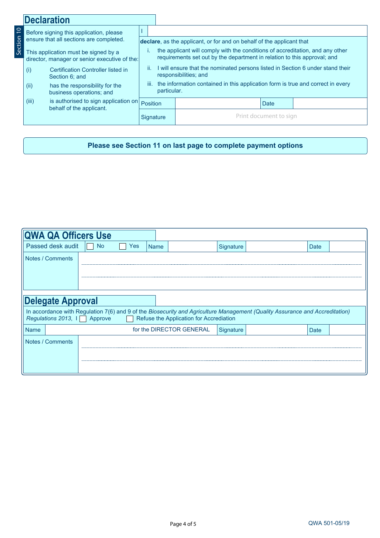|                 | <b>Declaration</b>                                                                                                                |                                                                  |                                                                                                                |                                                                                                                                                           |  |  |                        |  |  |  |
|-----------------|-----------------------------------------------------------------------------------------------------------------------------------|------------------------------------------------------------------|----------------------------------------------------------------------------------------------------------------|-----------------------------------------------------------------------------------------------------------------------------------------------------------|--|--|------------------------|--|--|--|
| $\overline{10}$ | Before signing this application, please                                                                                           |                                                                  |                                                                                                                |                                                                                                                                                           |  |  |                        |  |  |  |
| Section         |                                                                                                                                   | ensure that all sections are completed.                          |                                                                                                                | declare, as the applicant, or for and on behalf of the applicant that                                                                                     |  |  |                        |  |  |  |
|                 | This application must be signed by a<br>director, manager or senior executive of the:                                             |                                                                  |                                                                                                                | the applicant will comply with the conditions of accreditation, and any other<br>requirements set out by the department in relation to this approval; and |  |  |                        |  |  |  |
|                 | (i)<br>Certification Controller listed in<br>Section 6: and<br>(ii)<br>has the responsibility for the<br>business operations; and |                                                                  | I will ensure that the nominated persons listed in Section 6 under stand their<br>ii.<br>responsibilities; and |                                                                                                                                                           |  |  |                        |  |  |  |
|                 |                                                                                                                                   |                                                                  | iii.<br>the information contained in this application form is true and correct in every<br>particular.         |                                                                                                                                                           |  |  |                        |  |  |  |
|                 | (iii)                                                                                                                             | is authorised to sign application on<br>behalf of the applicant. |                                                                                                                | <b>Position</b>                                                                                                                                           |  |  | <b>Date</b>            |  |  |  |
|                 |                                                                                                                                   |                                                                  | Signature                                                                                                      |                                                                                                                                                           |  |  | Print document to sign |  |  |  |

### **Please see Section 11 on last page to complete payment options**

| <b>QWA QA Officers Use</b>                                                                                                                                                                           |           |     |             |                          |           |  |      |  |
|------------------------------------------------------------------------------------------------------------------------------------------------------------------------------------------------------|-----------|-----|-------------|--------------------------|-----------|--|------|--|
| Passed desk audit                                                                                                                                                                                    | <b>No</b> | Yes | <b>Name</b> |                          | Signature |  | Date |  |
| Notes / Comments                                                                                                                                                                                     |           |     |             |                          |           |  |      |  |
|                                                                                                                                                                                                      |           |     |             |                          |           |  |      |  |
| <b>Delegate Approval</b>                                                                                                                                                                             |           |     |             |                          |           |  |      |  |
| In accordance with Regulation 7(6) and 9 of the Biosecurity and Agriculture Management (Quality Assurance and Accreditation)<br>Regulations 2013, In Approve Refuse the Application for Accrediation |           |     |             |                          |           |  |      |  |
| <b>Name</b>                                                                                                                                                                                          |           |     |             | for the DIRECTOR GENERAL | Signature |  | Date |  |
| Notes / Comments                                                                                                                                                                                     |           |     |             |                          |           |  |      |  |